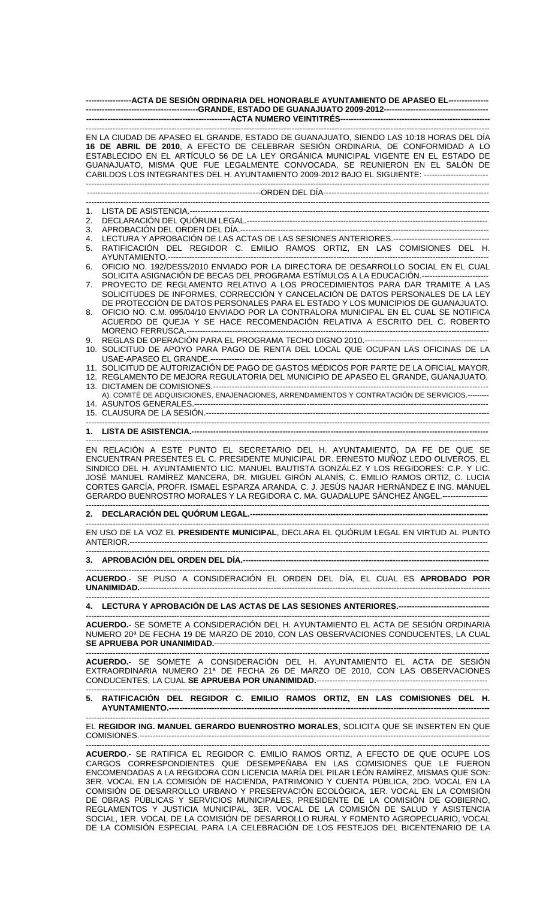| ------------------ACTA DE SESIÓN ORDINARIA DEL HONORABLE AYUNTAMIENTO DE APASEO EL----------------                                                                                                                                                                                                                                                                                                                                                                                                                                          |                                                                                                                                                                                                                                                    |
|---------------------------------------------------------------------------------------------------------------------------------------------------------------------------------------------------------------------------------------------------------------------------------------------------------------------------------------------------------------------------------------------------------------------------------------------------------------------------------------------------------------------------------------------|----------------------------------------------------------------------------------------------------------------------------------------------------------------------------------------------------------------------------------------------------|
|                                                                                                                                                                                                                                                                                                                                                                                                                                                                                                                                             |                                                                                                                                                                                                                                                    |
| EN LA CIUDAD DE APASEO EL GRANDE, ESTADO DE GUANAJUATO, SIENDO LAS 10:18 HORAS DEL DÍA<br>16 DE ABRIL DE 2010, A EFECTO DE CELEBRAR SESIÓN ORDINARIA, DE CONFORMIDAD A LO<br>ESTABLECIDO EN EL ARTÍCULO 56 DE LA LEY ORGÁNICA MUNICIPAL VIGENTE EN EL ESTADO DE<br>GUANAJUATO, MISMA QUE FUE LEGALMENTE CONVOCADA, SE REUNIERON EN EL SALÓN DE<br>CABILDOS LOS INTEGRANTES DEL H. AYUNTAMIENTO 2009-2012 BAJO EL SIGUIENTE: -------------------------                                                                                       |                                                                                                                                                                                                                                                    |
|                                                                                                                                                                                                                                                                                                                                                                                                                                                                                                                                             |                                                                                                                                                                                                                                                    |
| 1.                                                                                                                                                                                                                                                                                                                                                                                                                                                                                                                                          |                                                                                                                                                                                                                                                    |
| 2.                                                                                                                                                                                                                                                                                                                                                                                                                                                                                                                                          |                                                                                                                                                                                                                                                    |
| 3.                                                                                                                                                                                                                                                                                                                                                                                                                                                                                                                                          |                                                                                                                                                                                                                                                    |
| 4.<br>5.                                                                                                                                                                                                                                                                                                                                                                                                                                                                                                                                    | RATIFICACIÓN DEL REGIDOR C. EMILIO RAMOS ORTIZ, EN LAS COMISIONES DEL H.                                                                                                                                                                           |
|                                                                                                                                                                                                                                                                                                                                                                                                                                                                                                                                             |                                                                                                                                                                                                                                                    |
| 6.                                                                                                                                                                                                                                                                                                                                                                                                                                                                                                                                          | OFICIO NO. 192/DESS/2010 ENVIADO POR LA DIRECTORA DE DESARROLLO SOCIAL EN EL CUAL<br>SOLICITA ASIGNACIÓN DE BECAS DEL PROGRAMA ESTÍMULOS A LA EDUCACIÓN.------------------------                                                                   |
| 7.                                                                                                                                                                                                                                                                                                                                                                                                                                                                                                                                          | PROYECTO DE REGLAMENTO RELATIVO A LOS PROCEDIMIENTOS PARA DAR TRAMITE A LAS<br>SOLICITUDES DE INFORMES, CORRECCIÓN Y CANCELACIÓN DE DATOS PERSONALES DE LA LEY<br>DE PROTECCIÓN DE DATOS PERSONALES PARA EL ESTADO Y LOS MUNICIPIOS DE GUANAJUATO. |
| 8.                                                                                                                                                                                                                                                                                                                                                                                                                                                                                                                                          | OFICIO NO. C.M. 095/04/10 ENVIADO POR LA CONTRALORA MUNICIPAL EN EL CUAL SE NOTIFICA<br>ACUERDO DE QUEJA Y SE HACE RECOMENDACIÓN RELATIVA A ESCRITO DEL C. ROBERTO                                                                                 |
| 9.                                                                                                                                                                                                                                                                                                                                                                                                                                                                                                                                          | 10. SOLICITUD DE APOYO PARA PAGO DE RENTA DEL LOCAL QUE OCUPAN LAS OFICINAS DE LA                                                                                                                                                                  |
|                                                                                                                                                                                                                                                                                                                                                                                                                                                                                                                                             | 11. SOLICITUD DE AUTORIZACIÓN DE PAGO DE GASTOS MÉDICOS POR PARTE DE LA OFICIAL MAYOR.<br>12. REGLAMENTO DE MEJORA REGULATORIA DEL MUNICIPIO DE APASEO EL GRANDE, GUANAJUATO.                                                                      |
|                                                                                                                                                                                                                                                                                                                                                                                                                                                                                                                                             | A). COMITÉ DE ADQUISICIONES, ENAJENACIONES, ARRENDAMIENTOS Y CONTRATACIÓN DE SERVICIOS.---------                                                                                                                                                   |
|                                                                                                                                                                                                                                                                                                                                                                                                                                                                                                                                             |                                                                                                                                                                                                                                                    |
|                                                                                                                                                                                                                                                                                                                                                                                                                                                                                                                                             |                                                                                                                                                                                                                                                    |
| EN RELACIÓN A ESTE PUNTO EL SECRETARIO DEL H. AYUNTAMIENTO, DA FE DE QUE SE<br>ENCUENTRAN PRESENTES EL C. PRESIDENTE MUNICIPAL DR. ERNESTO MUÑOZ LEDO OLIVEROS. EL<br>SINDICO DEL H. AYUNTAMIENTO LIC. MANUEL BAUTISTA GONZÁLEZ Y LOS REGIDORES: C.P. Y LIC.<br>JOSÉ MANUEL RAMÍREZ MANCERA, DR. MIGUEL GIRÓN ALANÍS, C. EMILIO RAMOS ORTIZ, C. LUCIA<br>CORTES GARCÍA, PROFR. ISMAEL ESPARZA ARANDA, C. J. JESÚS NAJAR HERNÁNDEZ E ING. MANUEL<br>GERARDO BUENROSTRO MORALES Y LA REGIDORA C. MA. GUADALUPE SÁNCHEZ ÁNGEL.---------------- |                                                                                                                                                                                                                                                    |
|                                                                                                                                                                                                                                                                                                                                                                                                                                                                                                                                             |                                                                                                                                                                                                                                                    |
| EN USO DE LA VOZ EL PRESIDENTE MUNICIPAL, DECLARA EL QUÓRUM LEGAL EN VIRTUD AL PUNTO                                                                                                                                                                                                                                                                                                                                                                                                                                                        |                                                                                                                                                                                                                                                    |
|                                                                                                                                                                                                                                                                                                                                                                                                                                                                                                                                             |                                                                                                                                                                                                                                                    |
| ACUERDO.- SE PUSO A CONSIDERACIÓN EL ORDEN DEL DÍA, EL CUAL ES APROBADO POR                                                                                                                                                                                                                                                                                                                                                                                                                                                                 |                                                                                                                                                                                                                                                    |
|                                                                                                                                                                                                                                                                                                                                                                                                                                                                                                                                             | 4. LECTURA Y APROBACIÓN DE LAS ACTAS DE LAS SESIONES ANTERIORES.-----------------------------------                                                                                                                                                |
|                                                                                                                                                                                                                                                                                                                                                                                                                                                                                                                                             | ACUERDO.- SE SOMETE A CONSIDERACIÓN DEL H. AYUNTAMIENTO EL ACTA DE SESIÓN ORDINARIA<br>NUMERO 20ª DE FECHA 19 DE MARZO DE 2010, CON LAS OBSERVACIONES CONDUCENTES, LA CUAL                                                                         |
| ACUERDO.- SE SOMETE A CONSIDERACIÓN DEL H. AYUNTAMIENTO EL ACTA DE SESIÓN<br>EXTRAORDINARIA NUMERO 21ª DE FECHA 26 DE MARZO DE 2010, CON LAS OBSERVACIONES                                                                                                                                                                                                                                                                                                                                                                                  |                                                                                                                                                                                                                                                    |
|                                                                                                                                                                                                                                                                                                                                                                                                                                                                                                                                             | 5. RATIFICACIÓN DEL REGIDOR C. EMILIO RAMOS ORTIZ, EN LAS COMISIONES DEL H.                                                                                                                                                                        |
| EL REGIDOR ING. MANUEL GERARDO BUENROSTRO MORALES, SOLICITA QUE SE INSERTEN EN QUE                                                                                                                                                                                                                                                                                                                                                                                                                                                          |                                                                                                                                                                                                                                                    |
| ACUERDO.- SE RATIFICA EL REGIDOR C. EMILIO RAMOS ORTIZ, A EFECTO DE QUE OCUPE LOS                                                                                                                                                                                                                                                                                                                                                                                                                                                           |                                                                                                                                                                                                                                                    |
| CARGOS CORRESPONDIENTES QUE DESEMPEÑABA EN LAS COMISIONES QUE LE FUERON<br>ENCOMENDADAS A LA REGIDORA CON LICENCIA MARÍA DEL PILAR LEÓN RAMÍREZ, MISMAS QUE SON:<br>3ER. VOCAL EN LA COMISIÓN DE HACIENDA, PATRIMONIO Y CUENTA PÚBLICA, 2DO. VOCAL EN LA<br>COMISIÓN DE DESARROLLO URBANO Y PRESERVACIÓN ECOLÓGICA, 1ER. VOCAL EN LA COMISIÓN                                                                                                                                                                                               |                                                                                                                                                                                                                                                    |
| DE OBRAS PÚBLICAS Y SERVICIOS MUNICIPALES, PRESIDENTE DE LA COMISIÓN DE GOBIERNO,<br>REGLAMENTOS Y JUSTICIA MUNICIPAL, 3ER. VOCAL DE LA COMISIÓN DE SALUD Y ASISTENCIA                                                                                                                                                                                                                                                                                                                                                                      |                                                                                                                                                                                                                                                    |

SOCIAL, 1ER. VOCAL DE LA COMISIÓN DE DESARROLLO RURAL Y FOMENTO AGROPECUARIO, VOCAL DE LA COMISIÓN ESPECIAL PARA LA CELEBRACIÓN DE LOS FESTEJOS DEL BICENTENARIO DE LA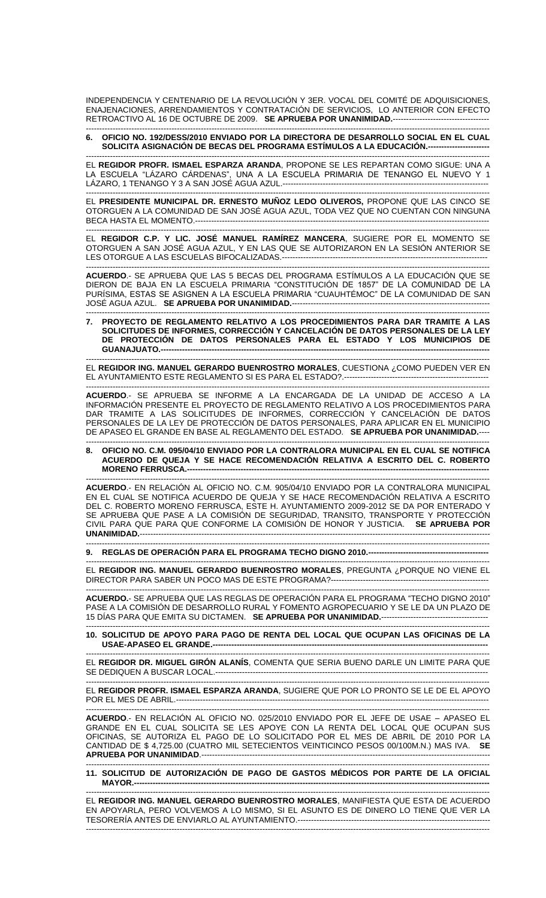INDEPENDENCIA Y CENTENARIO DE LA REVOLUCIÓN Y 3ER. VOCAL DEL COMITÉ DE ADQUISICIONES, ENAJENACIONES, ARRENDAMIENTOS Y CONTRATACIÓN DE SERVICIOS, LO ANTERIOR CON EFECTO RETROACTIVO AL 16 DE OCTUBRE DE 2009. **SE APRUEBA POR UNANIMIDAD.**------------------------------------

------------------------------------------------------------------------------------------------------------------------------------------------------- **6. OFICIO NO. 192/DESS/2010 ENVIADO POR LA DIRECTORA DE DESARROLLO SOCIAL EN EL CUAL SOLICITA ASIGNACIÓN DE BECAS DEL PROGRAMA ESTÍMULOS A LA EDUCACIÓN.-----------------------**

------------------------------------------------------------------------------------------------------------------------------------------------------- EL **REGIDOR PROFR. ISMAEL ESPARZA ARANDA**, PROPONE SE LES REPARTAN COMO SIGUE: UNA A LA ESCUELA "LÁZARO CÁRDENAS", UNA A LA ESCUELA PRIMARIA DE TENANGO EL NUEVO Y 1 LÁZARO, 1 TENANGO Y 3 A SAN JOSÉ AGUA AZUL.-----------------------------------------------------------------------------

------------------------------------------------------------------------------------------------------------------------------------------------------- EL **PRESIDENTE MUNICIPAL DR. ERNESTO MUÑOZ LEDO OLIVEROS,** PROPONE QUE LAS CINCO SE OTORGUEN A LA COMUNIDAD DE SAN JOSÉ AGUA AZUL, TODA VEZ QUE NO CUENTAN CON NINGUNA BECA HASTA EL MOMENTO.--------------------------------------------------------------------------------------------------------------

------------------------------------------------------------------------------------------------------------------------------------------------------- EL **REGIDOR C.P. Y LIC. JOSÉ MANUEL RAMÍREZ MANCERA**, SUGIERE POR EL MOMENTO SE OTORGUEN A SAN JOSÉ AGUA AZUL, Y EN LAS QUE SE AUTORIZARON EN LA SESIÓN ANTERIOR SE LES OTORGUE A LAS ESCUELAS BIFOCALIZADAS.-----------------------------------------------------------------------------

------------------------------------------------------------------------------------------------------------------------------------------------------- **ACUERDO**.- SE APRUEBA QUE LAS 5 BECAS DEL PROGRAMA ESTÍMULOS A LA EDUCACIÓN QUE SE DIERON DE BAJA EN LA ESCUELA PRIMARIA "CONSTITUCIÓN DE 1857" DE LA COMUNIDAD DE LA PURÍSIMA, ESTAS SE ASIGNEN A LA ESCUELA PRIMARIA "CUAUHTÉMOC" DE LA COMUNIDAD DE SAN JOSÉ AGUA AZUL. **SE APRUEBA POR UNANIMIDAD.**--

------------------------------------------------------------------------------------------------------------------------------------------------------- **7. PROYECTO DE REGLAMENTO RELATIVO A LOS PROCEDIMIENTOS PARA DAR TRAMITE A LAS SOLICITUDES DE INFORMES, CORRECCIÓN Y CANCELACIÓN DE DATOS PERSONALES DE LA LEY DE PROTECCIÓN DE DATOS PERSONALES PARA EL ESTADO Y LOS MUNICIPIOS DE GUANAJUATO.---------------------------------------------------------------------------------------------------------------------------**

------------------------------------------------------------------------------------------------------------------------------------------------------- EL **REGIDOR ING. MANUEL GERARDO BUENROSTRO MORALES**, CUESTIONA ¿COMO PUEDEN VER EN EL AYUNTAMIENTO ESTE REGLAMENTO SI ES PARA EL ESTADO?.------------------------------------------------------

------------------------------------------------------------------------------------------------------------------------------------------------------- **ACUERDO**.- SE APRUEBA SE INFORME A LA ENCARGADA DE LA UNIDAD DE ACCESO A LA INFORMACIÓN PRESENTE EL PROYECTO DE REGLAMENTO RELATIVO A LOS PROCEDIMIENTOS PARA DAR TRAMITE A LAS SOLICITUDES DE INFORMES, CORRECCIÓN Y CANCELACIÓN DE DATOS PERSONALES DE LA LEY DE PROTECCIÓN DE DATOS PERSONALES, PARA APLICAR EN EL MUNICIPIO DE APASEO EL GRANDE EN BASE AL REGLAMENTO DEL ESTADO. **SE APRUEBA POR UNANIMIDAD.**----

------------------------------------------------------------------------------------------------------------------------------------------------------- **8. OFICIO NO. C.M. 095/04/10 ENVIADO POR LA CONTRALORA MUNICIPAL EN EL CUAL SE NOTIFICA ACUERDO DE QUEJA Y SE HACE RECOMENDACIÓN RELATIVA A ESCRITO DEL C. ROBERTO MORENO FERRUSCA.-**

------------------------------------------------------------------------------------------------------------------------------------------------------- **ACUERDO**.- EN RELACIÓN AL OFICIO NO. C.M. 905/04/10 ENVIADO POR LA CONTRALORA MUNICIPAL EN EL CUAL SE NOTIFICA ACUERDO DE QUEJA Y SE HACE RECOMENDACIÓN RELATIVA A ESCRITO DEL C. ROBERTO MORENO FERRUSCA, ESTE H. AYUNTAMIENTO 2009-2012 SE DA POR ENTERADO Y SE APRUEBA QUE PASE A LA COMISION DE SEGURIDAD, TRANSITO, TRANSPORTE Y PROTECCION CIVIL PARA QUE PARA QUE CONFORME LA COMISIÓN DE HONOR Y JUSTICIA. **SE APRUEBA POR UNANIMIDAD.**-----------------------------------------------------------------------------------------------------------------------------------

-------------------------------------------------------------------------------------------------------------------------------------------------------

-------------------------------------------------------------------------------------------------------------------------------------------------------

**9. REGLAS DE OPERACIÓN PARA EL PROGRAMA TECHO DIGNO 2010.---------------------------------------------**

EL **REGIDOR ING. MANUEL GERARDO BUENROSTRO MORALES**, PREGUNTA ¿PORQUE NO VIENE EL DIRECTOR PARA SABER UN POCO MAS DE ESTE PROGRAMA?-----------------------------------------------------------

------------------------------------------------------------------------------------------------------------------------------------------------------- **ACUERDO.**- SE APRUEBA QUE LAS REGLAS DE OPERACIÓN PARA EL PROGRAMA "TECHO DIGNO 2010" PASE A LA COMISIÓN DE DESARROLLO RURAL Y FOMENTO AGROPECUARIO Y SE LE DA UN PLAZO DE 15 DÍAS PARA QUE EMITA SU DICTAMEN. **SE APRUEBA POR UNANIMIDAD.**----------------------------------------

## ------------------------------------------------------------------------------------------------------------------------------------------------------- **10. SOLICITUD DE APOYO PARA PAGO DE RENTA DEL LOCAL QUE OCUPAN LAS OFICINAS DE LA USAE-APASEO EL GRANDE.-------------**

------------------------------------------------------------------------------------------------------------------------------------------------------- EL **REGIDOR DR. MIGUEL GIRÓN ALANÍS**, COMENTA QUE SERIA BUENO DARLE UN LIMITE PARA QUE SE DEDIQUEN A BUSCAR LOCAL.------------------------------------------------------------------------------------------------------

------------------------------------------------------------------------------------------------------------------------------------------------------- EL **REGIDOR PROFR. ISMAEL ESPARZA ARANDA**, SUGIERE QUE POR LO PRONTO SE LE DE EL APOYO POR EL MES DE ABRIL.----------------------

------------------------------------------------------------------------------------------------------------------------------------------------------- **ACUERDO**.- EN RELACIÓN AL OFICIO NO. 025/2010 ENVIADO POR EL JEFE DE USAE – APASEO EL GRANDE EN EL CUAL SOLICITA SE LES APOYE CON LA RENTA DEL LOCAL QUE OCUPAN SUS OFICINAS, SE AUTORIZA EL PAGO DE LO SOLICITADO POR EL MES DE ABRIL DE 2010 POR LA CANTIDAD DE \$ 4,725.00 (CUATRO MIL SETECIENTOS VEINTICINCO PESOS 00/100M.N.) MAS IVA. **SE APRUEBA POR UNANIMIDAD**.------------------------------------------------------------------------------------------------------------

------------------------------------------------------------------------------------------------------------------------------------------------------- **11. SOLICITUD DE AUTORIZACIÓN DE PAGO DE GASTOS MÉDICOS POR PARTE DE LA OFICIAL MAYOR.-------------------------------------------------------------------------------------------------------------------------------------**

------------------------------------------------------------------------------------------------------------------------------------------------------- EL **REGIDOR ING. MANUEL GERARDO BUENROSTRO MORALES**, MANIFIESTA QUE ESTA DE ACUERDO EN APOYARLA, PERO VOLVEMOS A LO MISMO, SI EL ASUNTO ES DE DINERO LO TIENE QUE VER LA TESORERÍA ANTES DE ENVIARLO AL AYUNTAMIENTO.------------------------------------------------------------------------ -------------------------------------------------------------------------------------------------------------------------------------------------------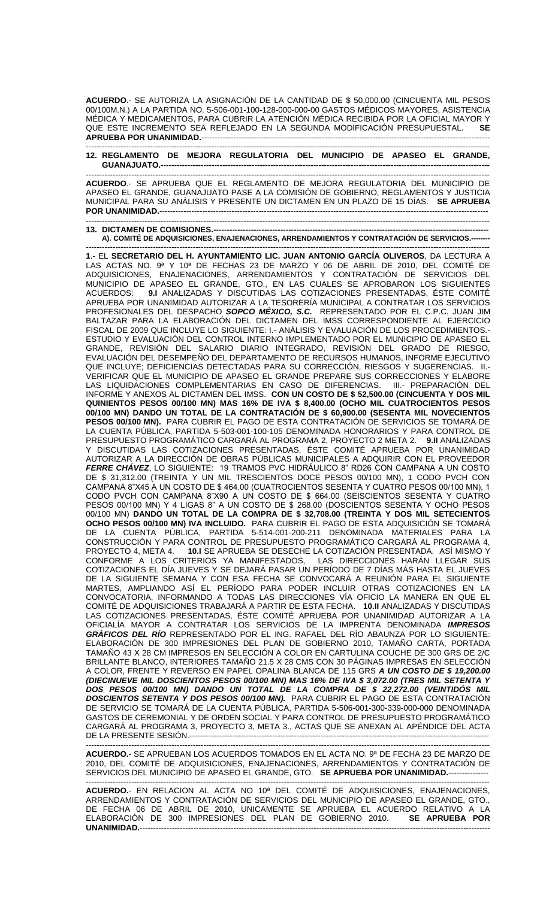**ACUERDO**.- SE AUTORIZA LA ASIGNACIÓN DE LA CANTIDAD DE \$ 50,000.00 (CINCUENTA MIL PESOS 00/100M.N.) A LA PARTIDA NO. 5-506-001-100-128-000-000-00 GASTOS MÉDICOS MAYORES, ASISTENCIA MÉDICA Y MEDICAMENTOS, PARA CUBRIR LA ATENCIÓN MÉDICA RECIBIDA POR LA OFICIAL MAYOR Y QUE ESTE INCREMENTO SEA REFLEJADO EN LA SEGUNDA MODIFICACIÓN PRESUPUESTAL. **SE APRUEBA POR UNANIMIDAD.**------------------------------------------------------------------------------------------------------------ -------------------------------------------------------------------------------------------------------------------------------------------------------

## **12. REGLAMENTO DE MEJORA REGULATORIA DEL MUNICIPIO DE APASEO EL GRANDE, GUANAJUATO.---------------------------------------------------------------------------------------------------------------------------**

------------------------------------------------------------------------------------------------------------------------------------------------------- **ACUERDO**.- SE APRUEBA QUE EL REGLAMENTO DE MEJORA REGULATORIA DEL MUNICIPIO DE APASEO EL GRANDE, GUANAJUATO PASE A LA COMISIÓN DE GOBIERNO, REGLAMENTOS Y JUSTICIA MUNICIPAL PARA SU ANÁLISIS Y PRESENTE UN DICTAMEN EN UN PLAZO DE 15 DÍAS. **SE APRUEBA POR UNANIMIDAD** --------------------------------------------------------------------------------------------------------------------------------------------------------------------

**13. DICTAMEN DE COMISIONES.-----A). COMITÉ DE ADQUISICIONES, ENAJENACIONES, ARRENDAMIENTOS Y CONTRATACIÓN DE SERVICIOS.--------**

------------------------------------------------------------------------------------------------------------------------------------------------------- **1**.- EL **SECRETARIO DEL H. AYUNTAMIENTO LIC. JUAN ANTONIO GARCÍA OLIVEROS**, DA LECTURA A LAS ACTAS NO. 9ª Y 10ª DE FECHAS 23 DE MARZO Y 06 DE ABRIL DE 2010, DEL COMITÉ DE ADQUISICIONES, ENAJENACIONES, ARRENDAMIENTOS Y CONTRATACIÓN DE SERVICIOS DEL MUNICIPIO DE APASEO EL GRANDE, GTO., EN LAS CUALES SE APROBARON LOS SIGUIENTES ACUERDOS: **9.I** ANALIZADAS Y DISCUTIDAS LAS COTIZACIONES PRESENTADAS, ÉSTE COMITÉ APRUEBA POR UNANIMIDAD AUTORIZAR A LA TESORERÍA MUNICIPAL A CONTRATAR LOS SERVICIOS PROFESIONALES DEL DESPACHO *SOPCO MÉXICO, S.C.* REPRESENTADO POR EL C.P.C. JUAN JIM BALTAZAR PARA LA ELABORACIÓN DEL DICTAMEN DEL IMSS CORRESPONDIENTE AL EJERCICIO FISCAL DE 2009 QUE INCLUYE LO SIGUIENTE: I.- ANÁLISIS Y EVALUACIÓN DE LOS PROCEDIMIENTOS.- ESTUDIO Y EVALUACIÓN DEL CONTROL INTERNO IMPLEMENTADO POR EL MUNICIPIO DE APASEO EL GRANDE, REVISIÓN DEL SALARIO DIARIO INTEGRADO, REVISIÓN DEL GRADO DE RIESGO, EVALUACIÓN DEL DESEMPEÑO DEL DEPARTAMENTO DE RECURSOS HUMANOS, INFORME EJECUTIVO QUE INCLUYE; DEFICIENCIAS DETECTADAS PARA SU CORRECCIÓN, RIESGOS Y SUGERENCIAS. II.- VERIFICAR QUE EL MUNICIPIO DE APASEO EL GRANDE PREPARE SUS CORRECCIONES Y ELABORE LAS LIQUIDACIONES COMPLEMENTARIAS EN CASO DE DIFERENCIAS. III.- PREPARACIÓN DEL INFORME Y ANEXOS AL DICTAMEN DEL IMSS. **CON UN COSTO DE \$ 52,500.00 (CINCUENTA Y DOS MIL QUINIENTOS PESOS 00/100 MN) MAS 16% DE IVA \$ 8,400.00 (OCHO MIL CUATROCIENTOS PESOS 00/100 MN) DANDO UN TOTAL DE LA CONTRATACIÓN DE \$ 60,900.00 (SESENTA MIL NOVECIENTOS PESOS 00/100 MN).** PARA CUBRIR EL PAGO DE ESTA CONTRATACIÓN DE SERVICIOS SE TOMARÁ DE LA CUENTA PÚBLICA, PARTIDA 5-503-001-100-105 DENOMINADA HONORARIOS Y PARA CONTROL DE PRESUPUESTO PROGRAMÁTICO CARGARÁ AL PROGRAMA 2, PROYECTO 2 META 2. **9.II** ANALIZADAS Y DISCUTIDAS LAS COTIZACIONES PRESENTADAS, ÉSTE COMITÉ APRUEBA POR UNANIMIDAD AUTORIZAR A LA DIRECCIÓN DE OBRAS PÚBLICAS MUNICIPALES A ADQUIRIR CON EL PROVEEDOR *FERRE CHÁVEZ*, LO SIGUIENTE: 19 TRAMOS PVC HIDRÁULICO 8" RD26 CON CAMPANA A UN COSTO DE \$ 31,312.00 (TREINTA Y UN MIL TRESCIENTOS DOCE PESOS 00/100 MN), 1 CODO PVCH CON CAMPANA 8"X45 A UN COSTO DE \$ 464.00 (CUATROCIENTOS SESENTA Y CUATRO PESOS 00/100 MN), 1 CODO PVCH CON CAMPANA 8"X90 A UN COSTO DE \$ 664.00 (SEISCIENTOS SESENTA Y CUATRO PESOS 00/100 MN) Y 4 LIGAS 8" A UN COSTO DE \$ 268.00 (DOSCIENTOS SESENTA Y OCHO PESOS 00/100 MN) **DANDO UN TOTAL DE LA COMPRA DE \$ 32,708.00 (TREINTA Y DOS MIL SETECIENTOS OCHO PESOS 00/100 MN) IVA INCLUIDO.** PARA CUBRIR EL PAGO DE ESTA ADQUISICIÓN SE TOMARÁ DE LA CUENTA PÚBLICA, PARTIDA 5-514-001-200-211 DENOMINADA MATERIALES PARA LA CONSTRUCCIÓN Y PARA CONTROL DE PRESUPUESTO PROGRAMÁTICO CARGARÁ AL PROGRAMA 4, PROYECTO 4, META 4. **10.I** SE APRUEBA SE DESECHE LA COTIZACIÓN PRESENTADA. ASÍ MISMO Y CONFORME A LOS CRITERIOS YA MANIFESTADOS, LAS DIRECCIONES HARÁN LLEGAR SUS COTIZACIONES EL DÍA JUEVES Y SE DEJARÁ PASAR UN PERÍODO DE 7 DÍAS MÁS HASTA EL JUEVES DE LA SIGUIENTE SEMANA Y CON ESA FECHA SE CONVOCARÁ A REUNIÓN PARA EL SIGUIENTE MARTES, AMPLIANDO ASÍ EL PERÍODO PARA PODER INCLUIR OTRAS COTIZACIONES EN LA CONVOCATORIA, INFORMANDO A TODAS LAS DIRECCIONES VÍA OFICIO LA MANERA EN QUE EL COMITÉ DE ADQUISICIONES TRABAJARÁ A PARTIR DE ESTA FECHA. **10.II** ANALIZADAS Y DISCUTIDAS LAS COTIZACIONES PRESENTADAS, ÉSTE COMITÉ APRUEBA POR UNANIMIDAD AUTORIZAR A LA OFICIALÍA MAYOR A CONTRATAR LOS SERVICIOS DE LA IMPRENTA DENOMINADA *IMPRESOS GRÁFICOS DEL RÍO* REPRESENTADO POR EL ING. RAFAEL DEL RÍO ABAUNZA POR LO SIGUIENTE: ELABORACIÓN DE 300 IMPRESIONES DEL PLAN DE GOBIERNO 2010, TAMAÑO CARTA, PORTADA TAMAÑO 43 X 28 CM IMPRESOS EN SELECCIÓN A COLOR EN CARTULINA COUCHE DE 300 GRS DE 2/C BRILLANTE BLANCO, INTERIORES TAMAÑO 21.5 X 28 CMS CON 30 PÁGINAS IMPRESAS EN SELECCIÓN A COLOR, FRENTE Y REVERSO EN PAPEL OPALINA BLANCA DE 115 GRS *A UN COSTO DE \$ 19,200.00 (DIECINUEVE MIL DOSCIENTOS PESOS 00/100 MN) MAS 16% DE IVA \$ 3,072.00 (TRES MIL SETENTA Y DOS PESOS 00/100 MN) DANDO UN TOTAL DE LA COMPRA DE \$ 22,272.00 (VEINTIDÓS MIL DOSCIENTOS SETENTA Y DOS PESOS 00/100 MN).* PARA CUBRIR EL PAGO DE ESTA CONTRATACIÓN DE SERVICIO SE TOMARÁ DE LA CUENTA PÚBLICA, PARTIDA 5-506-001-300-339-000-000 DENOMINADA GASTOS DE CEREMONIAL Y DE ORDEN SOCIAL Y PARA CONTROL DE PRESUPUESTO PROGRAMÁTICO CARGARÁ AL PROGRAMA 3, PROYECTO 3, META 3., ACTAS QUE SE ANEXAN AL APÉNDICE DEL ACTA DE LA PRESENTE SESIÓN.--------------------------------------------------------------------------------------------------------------------------------------------------------------------

**ACUERDO.**- SE APRUEBAN LOS ACUERDOS TOMADOS EN EL ACTA NO. 9ª DE FECHA 23 DE MARZO DE 2010, DEL COMITÉ DE ADQUISICIONES, ENAJENACIONES, ARRENDAMIENTOS Y CONTRATACIÓN DE SERVICIOS DEL MUNICIPIO DE APASEO EL GRANDE, GTO. **SE APRUEBA POR UNANIMIDAD.**--------------- -------------------------------------------------------------------------------------------------------------------------------------------------------

**ACUERDO.**- EN RELACION AL ACTA NO 10ª DEL COMITÉ DE ADQUISICIONES, ENAJENACIONES, ARRENDAMIENTOS Y CONTRATACIÓN DE SERVICIOS DEL MUNICIPIO DE APASEO EL GRANDE, GTO., DE FECHA 06 DE ABRIL DE 2010, UNICAMENTE SE APRUEBA EL ACUERDO RELATIVO A LA ELABORACIÓN DE 300 IMPRESIONES DEL PLAN DE GOBIERNO 2010. **SE APRUEBA POR UNANIMIDAD.**-----------------------------------------------------------------------------------------------------------------------------------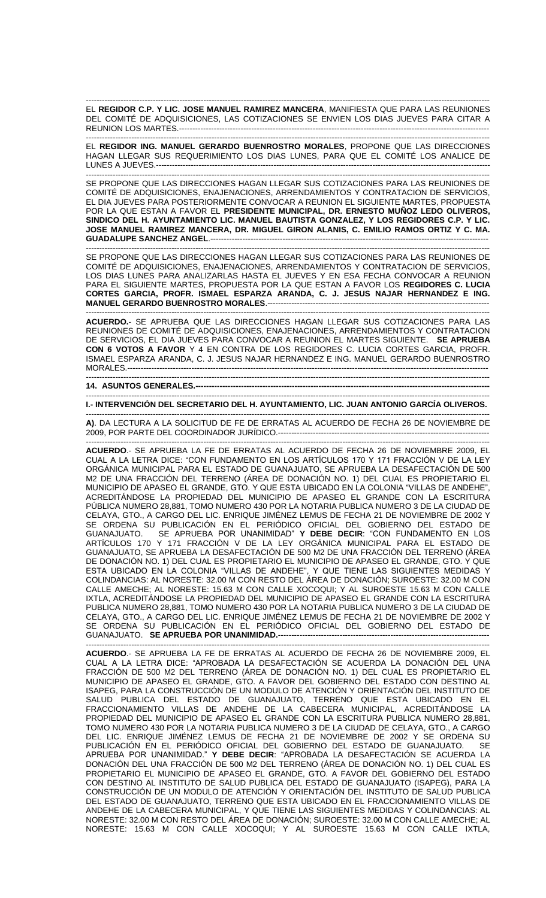------------------------------------------------------------------------------------------------------------------------------------------------------- EL **REGIDOR C.P. Y LIC. JOSE MANUEL RAMIREZ MANCERA**, MANIFIESTA QUE PARA LAS REUNIONES DEL COMITÉ DE ADQUISICIONES, LAS COTIZACIONES SE ENVIEN LOS DIAS JUEVES PARA CITAR A REUNION LOS MARTES.----------------

------------------------------------------------------------------------------------------------------------------------------------------------------- EL **REGIDOR ING. MANUEL GERARDO BUENROSTRO MORALES**, PROPONE QUE LAS DIRECCIONES HAGAN LLEGAR SUS REQUERIMIENTO LOS DIAS LUNES, PARA QUE EL COMITÉ LOS ANALICE DE LUNES A JUEVES.-----------------------------------------------------------------------------------------------------------------------------

------------------------------------------------------------------------------------------------------------------------------------------------------- SE PROPONE QUE LAS DIRECCIONES HAGAN LLEGAR SUS COTIZACIONES PARA LAS REUNIONES DE COMITÉ DE ADQUISICIONES, ENAJENACIONES, ARRENDAMIENTOS Y CONTRATACION DE SERVICIOS, EL DIA JUEVES PARA POSTERIORMENTE CONVOCAR A REUNION EL SIGUIENTE MARTES, PROPUESTA POR LA QUE ESTAN A FAVOR EL **PRESIDENTE MUNICIPAL, DR. ERNESTO MUÑOZ LEDO OLIVEROS, SINDICO DEL H. AYUNTAMIENTO LIC. MANUEL BAUTISTA GONZALEZ, Y LOS REGIDORES C.P. Y LIC. JOSE MANUEL RAMIREZ MANCERA, DR. MIGUEL GIRON ALANIS, C. EMILIO RAMOS ORTIZ Y C. MA. GUADALUPE SANCHEZ ANGEL**.-------------------------------------------------------------------------------------------------------- -------------------------------------------------------------------------------------------------------------------------------------------------------

SE PROPONE QUE LAS DIRECCIONES HAGAN LLEGAR SUS COTIZACIONES PARA LAS REUNIONES DE COMITÉ DE ADQUISICIONES, ENAJENACIONES, ARRENDAMIENTOS Y CONTRATACION DE SERVICIOS, LOS DIAS LUNES PARA ANALIZARLAS HASTA EL JUEVES Y EN ESA FECHA CONVOCAR A REUNION PARA EL SIGUIENTE MARTES, PROPUESTA POR LA QUE ESTAN A FAVOR LOS **REGIDORES C. LUCIA CORTES GARCIA, PROFR. ISMAEL ESPARZA ARANDA, C. J. JESUS NAJAR HERNANDEZ E ING. MANUEL GERARDO BUENROSTRO MORALES.----**

-------------------------------------------------------------------------------------------------------------------------------------------------------

**ACUERDO.**- SE APRUEBA QUE LAS DIRECCIONES HAGAN LLEGAR SUS COTIZACIONES PARA LAS REUNIONES DE COMITÉ DE ADQUISICIONES, ENAJENACIONES, ARRENDAMIENTOS Y CONTRATACION DE SERVICIOS, EL DIA JUEVES PARA CONVOCAR A REUNION EL MARTES SIGUIENTE. **SE APRUEBA CON 6 VOTOS A FAVOR** Y 4 EN CONTRA DE LOS REGIDORES C. LUCIA CORTES GARCIA, PROFR. ISMAEL ESPARZA ARANDA, C. J. JESUS NAJAR HERNANDEZ E ING. MANUEL GERARDO BUENROSTRO MORALES.------------------------------------------------------------------------------------------------------------------------------------------------------------------------------

## **14. ASUNTOS GENERALES.--------------------------------------------------------------------------------------------------------------**

------------------------------------------------------------------------------------------------------------------------------------------------------- **I.- INTERVENCIÓN DEL SECRETARIO DEL H. AYUNTAMIENTO, LIC. JUAN ANTONIO GARCÍA OLIVEROS.**

------------------------------------------------------------------------------------------------------------------------------------------------------- **A)**. DA LECTURA A LA SOLICITUD DE FE DE ERRATAS AL ACUERDO DE FECHA 26 DE NOVIEMBRE DE 2009, POR PARTE DEL COORDINADOR JURÍDICO.-------------------------------------------------------------------------------

------------------------------------------------------------------------------------------------------------------------------------------------------- **ACUERDO**.- SE APRUEBA LA FE DE ERRATAS AL ACUERDO DE FECHA 26 DE NOVIEMBRE 2009, EL CUAL A LA LETRA DICE: "CON FUNDAMENTO EN LOS ARTÍCULOS 170 Y 171 FRACCIÓN V DE LA LEY ORGÁNICA MUNICIPAL PARA EL ESTADO DE GUANAJUATO, SE APRUEBA LA DESAFECTACIÓN DE 500 M2 DE UNA FRACCIÓN DEL TERRENO (ÁREA DE DONACIÓN NO. 1) DEL CUAL ES PROPIETARIO EL MUNICIPIO DE APASEO EL GRANDE, GTO. Y QUE ESTA UBICADO EN LA COLONIA "VILLAS DE ANDEHE", ACREDITÁNDOSE LA PROPIEDAD DEL MUNICIPIO DE APASEO EL GRANDE CON LA ESCRITURA PÚBLICA NUMERO 28,881, TOMO NUMERO 430 POR LA NOTARIA PUBLICA NUMERO 3 DE LA CIUDAD DE CELAYA, GTO., A CARGO DEL LIC. ENRIQUE JIMÉNEZ LEMUS DE FECHA 21 DE NOVIEMBRE DE 2002 Y SE ORDENA SU PUBLICACIÓN EN EL PERIÓDICO OFICIAL DEL GOBIERNO DEL ESTADO DE GUANAJUATO. SE APRUEBA POR UNANIMIDAD" **Y DEBE DECIR**: "CON FUNDAMENTO EN LOS ARTÍCULOS 170 Y 171 FRACCIÓN V DE LA LEY ORGÁNICA MUNICIPAL PARA EL ESTADO DE GUANAJUATO, SE APRUEBA LA DESAFECTACIÓN DE 500 M2 DE UNA FRACCIÓN DEL TERRENO (ÁREA DE DONACIÓN NO. 1) DEL CUAL ES PROPIETARIO EL MUNICIPIO DE APASEO EL GRANDE, GTO. Y QUE ESTA UBICADO EN LA COLONIA "VILLAS DE ANDEHE", Y QUE TIENE LAS SIGUIENTES MEDIDAS Y COLINDANCIAS: AL NORESTE: 32.00 M CON RESTO DEL ÁREA DE DONACIÓN; SUROESTE: 32.00 M CON CALLE AMECHE; AL NORESTE: 15.63 M CON CALLE XOCOQUI; Y AL SUROESTE 15.63 M CON CALLE IXTLA, ACREDITÁNDOSE LA PROPIEDAD DEL MUNICIPIO DE APASEO EL GRANDE CON LA ESCRITURA PUBLICA NUMERO 28,881, TOMO NUMERO 430 POR LA NOTARIA PUBLICA NUMERO 3 DE LA CIUDAD DE CELAYA, GTO., A CARGO DEL LIC. ENRIQUE JIMÉNEZ LEMUS DE FECHA 21 DE NOVIEMBRE DE 2002 Y SE ORDENA SU PUBLICACIÓN EN EL PERIÓDICO OFICIAL DEL GOBIERNO DEL ESTADO DE GUANAJUATO. **SE APRUEBA POR UNANIMIDAD.**-------------------------------------------------------------------------------

------------------------------------------------------------------------------------------------------------------------------------------------------- **ACUERDO**.- SE APRUEBA LA FE DE ERRATAS AL ACUERDO DE FECHA 26 DE NOVIEMBRE 2009, EL CUAL A LA LETRA DICE: "APROBADA LA DESAFECTACIÓN SE ACUERDA LA DONACIÓN DEL UNA FRACCIÓN DE 500 M2 DEL TERRENO (ÁREA DE DONACIÓN NO. 1) DEL CUAL ES PROPIETARIO EL MUNICIPIO DE APASEO EL GRANDE, GTO. A FAVOR DEL GOBIERNO DEL ESTADO CON DESTINO AL ISAPEG, PARA LA CONSTRUCCIÓN DE UN MODULO DE ATENCIÓN Y ORIENTACIÓN DEL INSTITUTO DE SALUD PUBLICA DEL ESTADO DE GUANAJUATO, TERRENO QUE ESTA UBICADO EN EL FRACCIONAMIENTO VILLAS DE ANDEHE DE LA CABECERA MUNICIPAL, ACREDITÁNDOSE LA PROPIEDAD DEL MUNICIPIO DE APASEO EL GRANDE CON LA ESCRITURA PUBLICA NUMERO 28,881, TOMO NUMERO 430 POR LA NOTARIA PUBLICA NUMERO 3 DE LA CIUDAD DE CELAYA, GTO., A CARGO DEL LIC. ENRIQUE JIMÉNEZ LEMUS DE FECHA 21 DE NOVIEMBRE DE 2002 Y SE ORDENA SU PUBLICACIÓN EN EL PERIÓDICO OFICIAL DEL GOBIERNO DEL ESTADO DE GUANAJUATO. SE APRUEBA POR UNANIMIDAD." **Y DEBE DECIR**: "APROBADA LA DESAFECTACIÓN SE ACUERDA LA DONACIÓN DEL UNA FRACCIÓN DE 500 M2 DEL TERRENO (ÁREA DE DONACIÓN NO. 1) DEL CUAL ES PROPIETARIO EL MUNICIPIO DE APASEO EL GRANDE, GTO. A FAVOR DEL GOBIERNO DEL ESTADO CON DESTINO AL INSTITUTO DE SALUD PUBLICA DEL ESTADO DE GUANAJUATO (ISAPEG), PARA LA CONSTRUCCIÓN DE UN MODULO DE ATENCIÓN Y ORIENTACIÓN DEL INSTITUTO DE SALUD PUBLICA DEL ESTADO DE GUANAJUATO, TERRENO QUE ESTA UBICADO EN EL FRACCIONAMIENTO VILLAS DE ANDEHE DE LA CABECERA MUNICIPAL, Y QUE TIENE LAS SIGUIENTES MEDIDAS Y COLINDANCIAS: AL NORESTE: 32.00 M CON RESTO DEL ÁREA DE DONACIÓN; SUROESTE: 32.00 M CON CALLE AMECHE; AL NORESTE: 15.63 M CON CALLE XOCOQUI; Y AL SUROESTE 15.63 M CON CALLE IXTLA,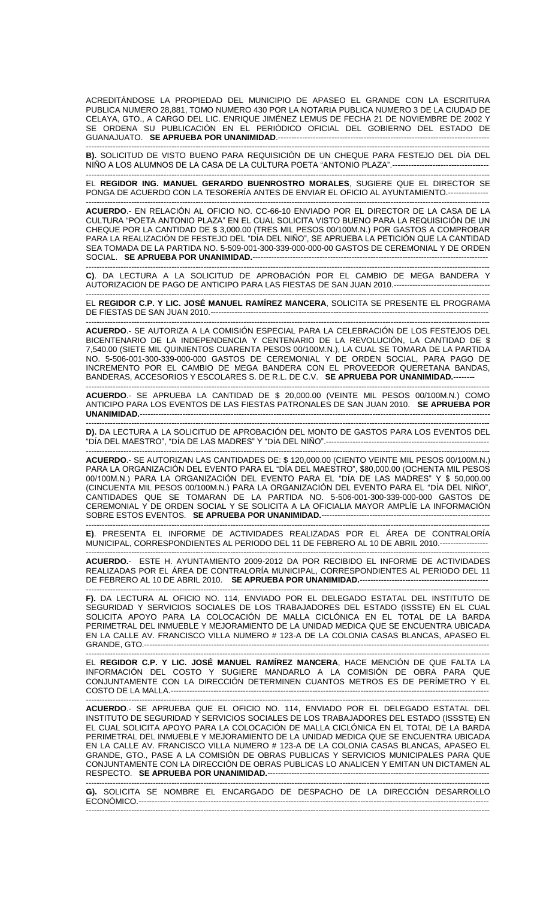ACREDITÁNDOSE LA PROPIEDAD DEL MUNICIPIO DE APASEO EL GRANDE CON LA ESCRITURA PUBLICA NUMERO 28,881, TOMO NUMERO 430 POR LA NOTARIA PUBLICA NUMERO 3 DE LA CIUDAD DE CELAYA, GTO., A CARGO DEL LIC. ENRIQUE JIMÉNEZ LEMUS DE FECHA 21 DE NOVIEMBRE DE 2002 Y SE ORDENA SU PUBLICACIÓN EN EL PERIÓDICO OFICIAL DEL GOBIERNO DEL ESTADO DE GUANAJUATO. **SE APRUEBA POR UNANIMIDAD**.-------------------------------------------------------------------------------

------------------------------------------------------------------------------------------------------------------------------------------------------- **B).** SOLICITUD DE VISTO BUENO PARA REQUISICION DE UN CHEQUE PARA FESTEJO DEL DIA DEL NIÑO A LOS ALUMNOS DE LA CASA DE LA CULTURA POETA "ANTONIO PLAZA".------------------------------------

------------------------------------------------------------------------------------------------------------------------------------------------------- EL **REGIDOR ING. MANUEL GERARDO BUENROSTRO MORALES**, SUGIERE QUE EL DIRECTOR SE PONGA DE ACUERDO CON LA TESORERÍA ANTES DE ENVIAR EL OFICIO AL AYUNTAMIENTO.---------------

------------------------------------------------------------------------------------------------------------------------------------------------------- **ACUERDO**.- EN RELACIÓN AL OFICIO NO. CC-66-10 ENVIADO POR EL DIRECTOR DE LA CASA DE LA CULTURA "POETA ANTONIO PLAZA" EN EL CUAL SOLICITA VISTO BUENO PARA LA REQUISICIÓN DE UN CHEQUE POR LA CANTIDAD DE \$ 3,000.00 (TRES MIL PESOS 00/100M.N.) POR GASTOS A COMPROBAR PARA LA REALIZACIÓN DE FESTEJO DEL "DÍA DEL NIÑO", SE APRUEBA LA PETICIÓN QUE LA CANTIDAD SEA TOMADA DE LA PARTIDA NO. 5-509-001-300-339-000-000-00 GASTOS DE CEREMONIAL Y DE ORDEN SOCIAL. **SE APRUEBA POR UNANIMIDAD.---------------------**

------------------------------------------------------------------------------------------------------------------------------------------------------- **C)**. DA LECTURA A LA SOLICITUD DE APROBACIÓN POR EL CAMBIO DE MEGA BANDERA Y AUTORIZACION DE PAGO DE ANTICIPO PARA LAS FIESTAS DE SAN JUAN 2010.------------------------------------

------------------------------------------------------------------------------------------------------------------------------------------------------- EL **REGIDOR C.P. Y LIC. JOSÉ MANUEL RAMÍREZ MANCERA**, SOLICITA SE PRESENTE EL PROGRAMA DE FIESTAS DE SAN JUAN 2010.--------------------------------------------------------------------------------------------------------

-------------------------------------------------------------------------------------------------------------------------------------------------------

**ACUERDO**.- SE AUTORIZA A LA COMISIÓN ESPECIAL PARA LA CELEBRACIÓN DE LOS FESTEJOS DEL BICENTENARIO DE LA INDEPENDENCIA Y CENTENARIO DE LA REVOLUCIÓN, LA CANTIDAD DE \$ 7,540.00 (SIETE MIL QUINIENTOS CUARENTA PESOS 00/100M.N.), LA CUAL SE TOMARA DE LA PARTIDA NO. 5-506-001-300-339-000-000 GASTOS DE CEREMONIAL Y DE ORDEN SOCIAL, PARA PAGO DE INCREMENTO POR EL CAMBIO DE MEGA BANDERA CON EL PROVEEDOR QUERETANA BANDAS, BANDERAS, ACCESORIOS Y ESCOLARES S. DE R.L. DE C.V. **SE APRUEBA POR UNANIMIDAD.**--------

------------------------------------------------------------------------------------------------------------------------------------------------------- **ACUERDO**.- SE APRUEBA LA CANTIDAD DE \$ 20,000.00 (VEINTE MIL PESOS 00/100M.N.) COMO ANTICIPO PARA LOS EVENTOS DE LAS FIESTAS PATRONALES DE SAN JUAN 2010. **SE APRUEBA POR UNANIMIDAD.**-----------------------------------------------------------------------------------------------------------------------------------

------------------------------------------------------------------------------------------------------------------------------------------------------- **D).** DA LECTURA A LA SOLICITUD DE APROBACION DEL MONTO DE GASTOS PARA LOS EVENTOS DEL "DÍA DEL MAESTRO", "DÍA DE LAS MADRES" Y "DÍA DEL NIÑO".-------------------------------------------------------------

------------------------------------------------------------------------------------------------------------------------------------------------------- **ACUERDO**.- SE AUTORIZAN LAS CANTIDADES DE: \$ 120,000.00 (CIENTO VEINTE MIL PESOS 00/100M.N.) PARA LA ORGANIZACIÓN DEL EVENTO PARA EL "DÍA DEL MAESTRO", \$80,000.00 (OCHENTA MIL PESOS 00/100M.N.) PARA LA ORGANIZACIÓN DEL EVENTO PARA EL "DÍA DE LAS MADRES" Y \$ 50,000.00 (CINCUENTA MIL PESOS 00/100M.N.) PARA LA ORGANIZACIÓN DEL EVENTO PARA EL "DÍA DEL NIÑO", CANTIDADES QUE SE TOMARAN DE LA PARTIDA NO. 5-506-001-300-339-000-000 GASTOS DE CEREMONIAL Y DE ORDEN SOCIAL Y SE SOLICITA A LA OFICIALIA MAYOR AMPLÍE LA INFORMACIÓN SOBRE ESTOS EVENTOS. **SE APRUEBA POR UNANIMIDAD.**---------------------------------------------------------------

------------------------------------------------------------------------------------------------------------------------------------------------------- **E)**. PRESENTA EL INFORME DE ACTIVIDADES REALIZADAS POR EL ÁREA DE CONTRALORÍA MUNICIPAL, CORRESPONDIENTES AL PERIODO DEL 11 DE FEBRERO AL 10 DE ABRIL 2010.------------------

------------------------------------------------------------------------------------------------------------------------------------------------------- **ACUERDO.**- ESTE H. AYUNTAMIENTO 2009-2012 DA POR RECIBIDO EL INFORME DE ACTIVIDADES REALIZADAS POR EL ÁREA DE CONTRALORÍA MUNICIPAL, CORRESPONDIENTES AL PERIODO DEL 11 DE FEBRERO AL 10 DE ABRIL 2010. **SE APRUEBA POR UNANIMIDAD.**------------------------------------------------

------------------------------------------------------------------------------------------------------------------------------------------------------- **F).** DA LECTURA AL OFICIO NO. 114, ENVIADO POR EL DELEGADO ESTATAL DEL INSTITUTO DE SEGURIDAD Y SERVICIOS SOCIALES DE LOS TRABAJADORES DEL ESTADO (ISSSTE) EN EL CUAL SOLICITA APOYO PARA LA COLOCACIÓN DE MALLA CICLÓNICA EN EL TOTAL DE LA BARDA PERIMETRAL DEL INMUEBLE Y MEJORAMIENTO DE LA UNIDAD MEDICA QUE SE ENCUENTRA UBICADA EN LA CALLE AV. FRANCISCO VILLA NUMERO # 123-A DE LA COLONIA CASAS BLANCAS, APASEO EL GRANDE, GTO.---------------------------------------------------------------------------------------------------------------------------------

------------------------------------------------------------------------------------------------------------------------------------------------------- EL **REGIDOR C.P. Y LIC. JOSÉ MANUEL RAMÍREZ MANCERA**, HACE MENCIÓN DE QUE FALTA LA INFORMACIÓN DEL COSTO Y SUGIERE MANDARLO A LA COMISIÓN DE OBRA PARA QUE CONJUNTAMENTE CON LA DIRECCIÓN DETERMINEN CUANTOS METROS ES DE PERÍMETRO Y EL COSTO DE LA MALLA.-------

------------------------------------------------------------------------------------------------------------------------------------------------------- **ACUERDO**.- SE APRUEBA QUE EL OFICIO NO. 114, ENVIADO POR EL DELEGADO ESTATAL DEL INSTITUTO DE SEGURIDAD Y SERVICIOS SOCIALES DE LOS TRABAJADORES DEL ESTADO (ISSSTE) EN EL CUAL SOLICITA APOYO PARA LA COLOCACIÓN DE MALLA CICLÓNICA EN EL TOTAL DE LA BARDA PERIMETRAL DEL INMUEBLE Y MEJORAMIENTO DE LA UNIDAD MEDICA QUE SE ENCUENTRA UBICADA EN LA CALLE AV. FRANCISCO VILLA NUMERO # 123-A DE LA COLONIA CASAS BLANCAS, APASEO EL GRANDE, GTO., PASE A LA COMISIÓN DE OBRAS PUBLICAS Y SERVICIOS MUNICIPALES PARA QUE CONJUNTAMENTE CON LA DIRECCIÓN DE OBRAS PUBLICAS LO ANALICEN Y EMITAN UN DICTAMEN AL RESPECTO. **SE APRUEBA POR UNANIMIDAD.**----------------------------------------------------------------------------------- -------------------------------------------------------------------------------------------------------------------------------------------------------

**G).** SOLICITA SE NOMBRE EL ENCARGADO DE DESPACHO DE LA DIRECCIÓN DESARROLLO ECONÓMICO.----------------------------------------------------------------------------------------------------------------------------------- -------------------------------------------------------------------------------------------------------------------------------------------------------